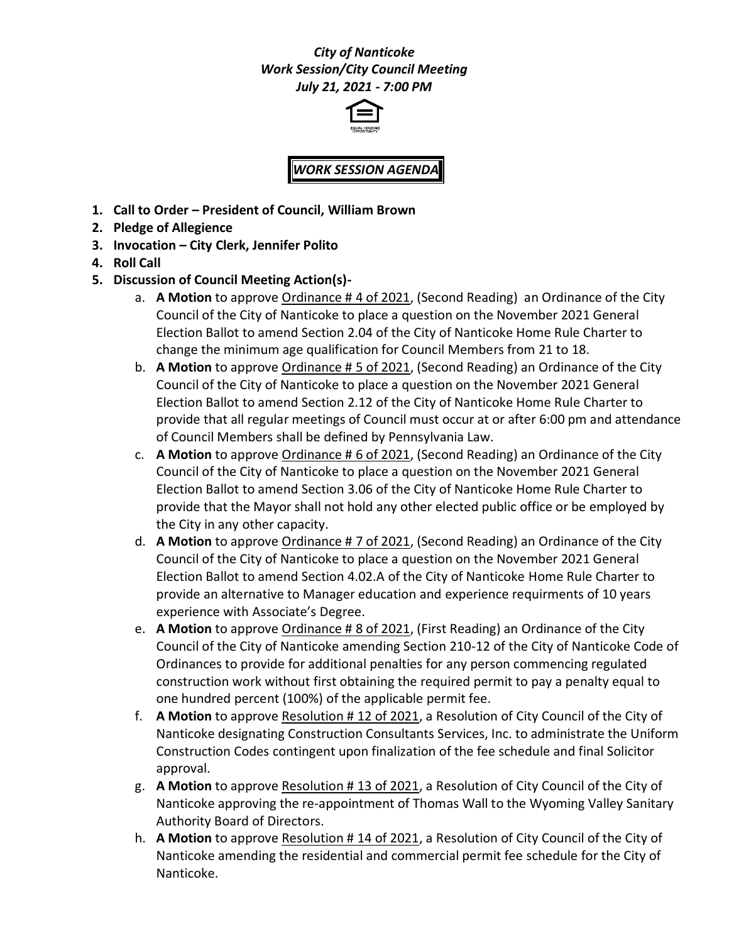## *City of Nanticoke Work Session/City Council Meeting July 21, 2021 - 7:00 PM*



# *WORK SESSION AGENDA*

- **1. Call to Order – President of Council, William Brown**
- **2. Pledge of Allegience**
- **3. Invocation – City Clerk, Jennifer Polito**
- **4. Roll Call**
- **5. Discussion of Council Meeting Action(s)**
	- a. **A Motion** to approve Ordinance # 4 of 2021, (Second Reading) an Ordinance of the City Council of the City of Nanticoke to place a question on the November 2021 General Election Ballot to amend Section 2.04 of the City of Nanticoke Home Rule Charter to change the minimum age qualification for Council Members from 21 to 18.
	- b. **A Motion** to approve Ordinance # 5 of 2021, (Second Reading) an Ordinance of the City Council of the City of Nanticoke to place a question on the November 2021 General Election Ballot to amend Section 2.12 of the City of Nanticoke Home Rule Charter to provide that all regular meetings of Council must occur at or after 6:00 pm and attendance of Council Members shall be defined by Pennsylvania Law.
	- c. **A Motion** to approve Ordinance # 6 of 2021, (Second Reading) an Ordinance of the City Council of the City of Nanticoke to place a question on the November 2021 General Election Ballot to amend Section 3.06 of the City of Nanticoke Home Rule Charter to provide that the Mayor shall not hold any other elected public office or be employed by the City in any other capacity.
	- d. **A Motion** to approve Ordinance # 7 of 2021, (Second Reading) an Ordinance of the City Council of the City of Nanticoke to place a question on the November 2021 General Election Ballot to amend Section 4.02.A of the City of Nanticoke Home Rule Charter to provide an alternative to Manager education and experience requirments of 10 years experience with Associate's Degree.
	- e. **A Motion** to approve Ordinance # 8 of 2021, (First Reading) an Ordinance of the City Council of the City of Nanticoke amending Section 210-12 of the City of Nanticoke Code of Ordinances to provide for additional penalties for any person commencing regulated construction work without first obtaining the required permit to pay a penalty equal to one hundred percent (100%) of the applicable permit fee.
	- f. **A Motion** to approve Resolution # 12 of 2021, a Resolution of City Council of the City of Nanticoke designating Construction Consultants Services, Inc. to administrate the Uniform Construction Codes contingent upon finalization of the fee schedule and final Solicitor approval.
	- g. **A Motion** to approve Resolution # 13 of 2021, a Resolution of City Council of the City of Nanticoke approving the re-appointment of Thomas Wall to the Wyoming Valley Sanitary Authority Board of Directors.
	- h. **A Motion** to approve Resolution # 14 of 2021, a Resolution of City Council of the City of Nanticoke amending the residential and commercial permit fee schedule for the City of Nanticoke.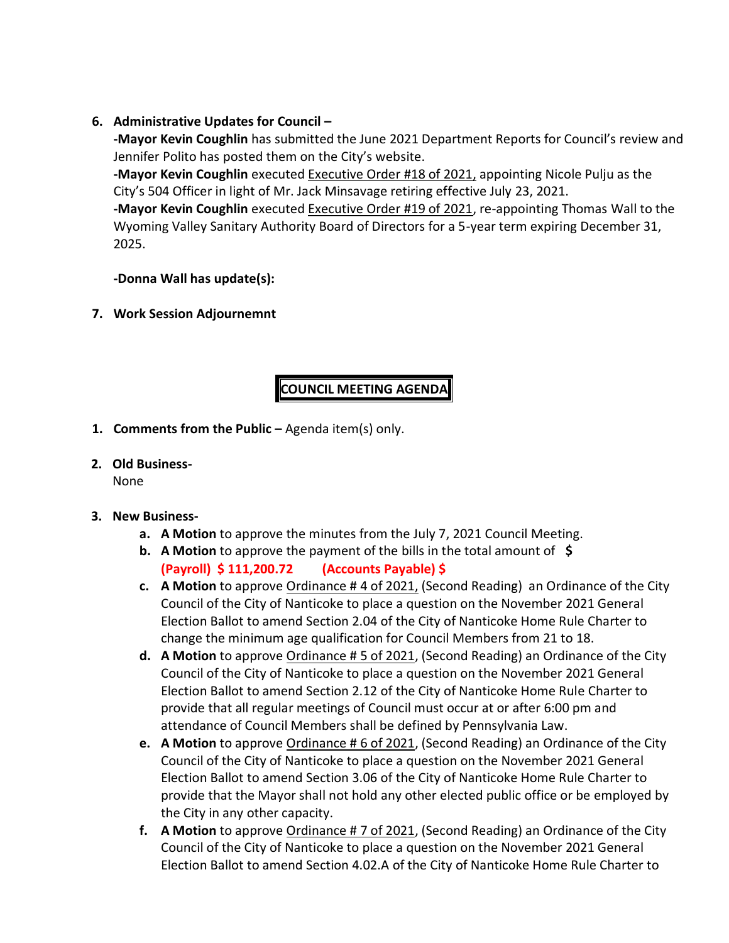### **6. Administrative Updates for Council –**

**-Mayor Kevin Coughlin** has submitted the June 2021 Department Reports for Council's review and Jennifer Polito has posted them on the City's website.

**-Mayor Kevin Coughlin** executed Executive Order #18 of 2021, appointing Nicole Pulju as the City's 504 Officer in light of Mr. Jack Minsavage retiring effective July 23, 2021.

**-Mayor Kevin Coughlin** executed Executive Order #19 of 2021, re-appointing Thomas Wall to the Wyoming Valley Sanitary Authority Board of Directors for a 5-year term expiring December 31, 2025.

#### **-Donna Wall has update(s):**

**7. Work Session Adjournemnt**

# **COUNCIL MEETING AGENDA**

- **1. Comments from the Public –** Agenda item(s) only.
- **2. Old Business-**

None

- **3. New Business**
	- **a. A Motion** to approve the minutes from the July 7, 2021 Council Meeting.
	- **b. A Motion** to approve the payment of the bills in the total amount of **\$ (Payroll) \$ 111,200.72 (Accounts Payable) \$**
	- **c. A Motion** to approve Ordinance # 4 of 2021, (Second Reading) an Ordinance of the City Council of the City of Nanticoke to place a question on the November 2021 General Election Ballot to amend Section 2.04 of the City of Nanticoke Home Rule Charter to change the minimum age qualification for Council Members from 21 to 18.
	- **d. A Motion** to approve Ordinance # 5 of 2021, (Second Reading) an Ordinance of the City Council of the City of Nanticoke to place a question on the November 2021 General Election Ballot to amend Section 2.12 of the City of Nanticoke Home Rule Charter to provide that all regular meetings of Council must occur at or after 6:00 pm and attendance of Council Members shall be defined by Pennsylvania Law.
	- **e. A Motion** to approve Ordinance # 6 of 2021, (Second Reading) an Ordinance of the City Council of the City of Nanticoke to place a question on the November 2021 General Election Ballot to amend Section 3.06 of the City of Nanticoke Home Rule Charter to provide that the Mayor shall not hold any other elected public office or be employed by the City in any other capacity.
	- **f. A Motion** to approve Ordinance # 7 of 2021, (Second Reading) an Ordinance of the City Council of the City of Nanticoke to place a question on the November 2021 General Election Ballot to amend Section 4.02.A of the City of Nanticoke Home Rule Charter to